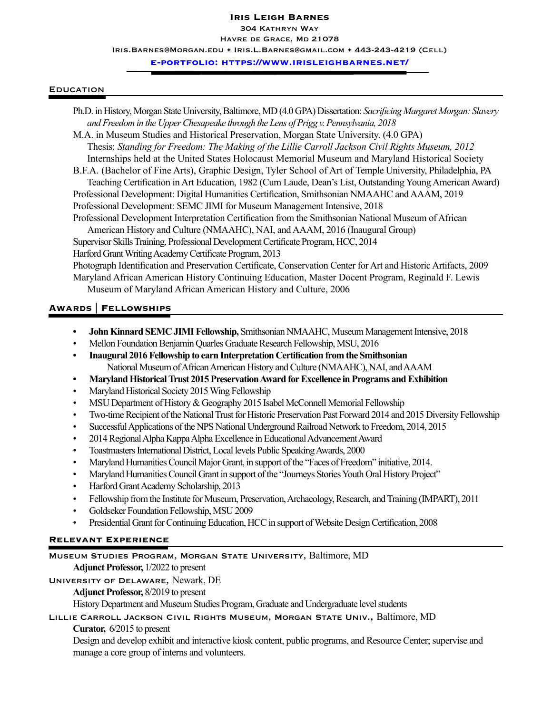#### **Iris Leigh Barnes**

IRIS BARNES Havre de Grace, Md 21078 304 Kathryn Way

Iris.Barnes@Morgan.edu + Iris.L.Barnes@gmail.com + 443-243-4219 (Cell)

**e-portfolio: https://www.irisleighbarnes.net/**

#### **EDUCATION**

Ph.D. in History, Morgan State University, Baltimore, MD (4.0 GPA) Dissertation: *Sacrificing Margaret Morgan: Slavery and Freedom in the Upper Chesapeake through the Lens of Prigg v. Pennsylvania, 2018* M.A. in Museum Studies and Historical Preservation, Morgan State University. (4.0 GPA) Thesis: *Standing for Freedom: The Making of the Lillie Carroll Jackson Civil Rights Museum, 2012* Internships held at the United States Holocaust Memorial Museum and Maryland Historical Society B.F.A. (Bachelor of Fine Arts), Graphic Design, Tyler School of Art of Temple University, Philadelphia, PA Teaching Certification in Art Education, 1982 (Cum Laude, Dean's List, Outstanding Young American Award) Professional Development: Digital Humanities Certification, Smithsonian NMAAHC and AAAM, 2019 Professional Development: SEMC JIMI for Museum Management Intensive, 2018 Professional Development Interpretation Certification from the Smithsonian National Museum of African American History and Culture (NMAAHC), NAI, and AAAM, 2016 (Inaugural Group) Supervisor Skills Training, Professional Development Certificate Program, HCC, 2014 Harford Grant Writing Academy Certificate Program, 2013 Photograph Identification and Preservation Certificate, Conservation Center for Art and Historic Artifacts, 2009 Maryland African American History Continuing Education, Master Docent Program, Reginald F. Lewis Museum of Maryland African American History and Culture, 2006

### **Awards** | **Fellowships**

- **• John Kinnard SEMC JIMI Fellowship,** Smithsonian NMAAHC, Museum Management Intensive, 2018
- Mellon Foundation Benjamin Quarles Graduate Research Fellowship, MSU, 2016
- **• Inaugural 2016 Fellowship to earn Interpretation Certification from the Smithsonian**  National Museum of African American History and Culture (NMAAHC), NAI, and AAAM
- **• Maryland Historical Trust 2015 Preservation Award for Excellence in Programs and Exhibition**
- Maryland Historical Society 2015 Wing Fellowship
- MSU Department of History & Geography 2015 Isabel McConnell Memorial Fellowship
- Two-time Recipient of the National Trust for Historic Preservation Past Forward 2014 and 2015 Diversity Fellowship
- Successful Applications of the NPS National Underground Railroad Network to Freedom, 2014, 2015
- 2014 Regional Alpha Kappa Alpha Excellence in Educational Advancement Award
- Toastmasters International District, Local levels Public Speaking Awards, 2000
- Maryland Humanities Council Major Grant, in support of the "Faces of Freedom" initiative, 2014.
- Maryland Humanities Council Grant in support of the "Journeys Stories Youth Oral History Project"
- Harford Grant Academy Scholarship, 2013
- Fellowship from the Institute for Museum, Preservation, Archaeology, Research, and Training (IMPART), 2011
- Goldseker Foundation Fellowship, MSU 2009
- Presidential Grant for Continuing Education, HCC in support of Website Design Certification, 2008

#### **Relevant Experience**

Museum Studies Program, Morgan State University, Baltimore, MD

**Adjunct Professor,** 1/2022 to present

### University of Delaware, Newark, DE

### **Adjunct Professor,** 8/2019 to present

History Department and Museum Studies Program, Graduate and Undergraduate level students

Lillie Carroll Jackson Civil Rights Museum, Morgan State Univ., Baltimore, MD

 **Curator,** 6/2015 to present

Design and develop exhibit and interactive kiosk content, public programs, and Resource Center; supervise and manage a core group of interns and volunteers.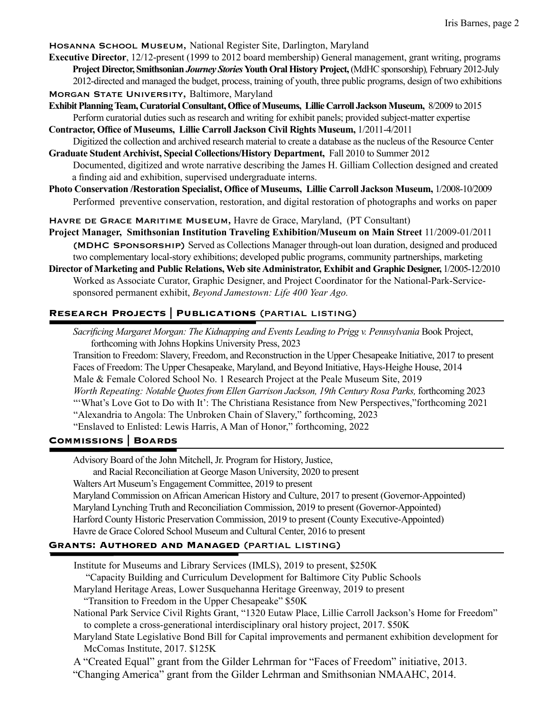Hosanna School Museum, National Register Site, Darlington, Maryland

- **Executive Director**, 12/12-present (1999 to 2012 board membership) General management, grant writing, programs  **Project Director, Smithsonian** *Journey Stories* **Youth Oral History Project,** (MdHC sponsorship)*,* February 2012-July 2012-directed and managed the budget, process, training of youth, three public programs, design of two exhibitions MORGAN STATE UNIVERSITY, Baltimore, Maryland
- **Exhibit Planning Team, Curatorial Consultant, Office of Museums, Lillie Carroll Jackson Museum,** 8/2009 to 2015 Perform curatorial duties such as research and writing for exhibit panels; provided subject-matter expertise
- **Contractor, Office of Museums, Lillie Carroll Jackson Civil Rights Museum,** 1/2011-4/2011 Digitized the collection and archived research material to create a database as the nucleus of the Resource Center
- **Graduate Student Archivist, Special Collections/History Department,** Fall 2010 to Summer 2012 Documented, digitized and wrote narrative describing the James H. Gilliam Collection designed and created a finding aid and exhibition, supervised undergraduate interns.
- **Photo Conservation /Restoration Specialist, Office of Museums, Lillie Carroll Jackson Museum,** 1/2008-10/2009 Performed preventive conservation, restoration, and digital restoration of photographs and works on paper

Havre de Grace Maritime Museum, Havre de Grace, Maryland, (PT Consultant)

**Project Manager, Smithsonian Institution Traveling Exhibition/Museum on Main Street** 11/2009-01/2011 (MDHC Sponsorship) Served as Collections Manager through-out loan duration, designed and produced two complementary local-story exhibitions; developed public programs, community partnerships, marketing

**Director of Marketing and Public Relations, Web site Administrator, Exhibit and Graphic Designer,** 1/2005-12/2010 Worked as Associate Curator, Graphic Designer, and Project Coordinator for the National-Park-Servicesponsored permanent exhibit, *Beyond Jamestown: Life 400 Year Ago.* 

## **Research Projects | Publications** (partial listing)

*Sacrificing Margaret Morgan: The Kidnapping and Events Leading to Prigg v. Pennsylvania* Book Project, forthcoming with Johns Hopkins University Press, 2023

Transition to Freedom: Slavery, Freedom, and Reconstruction in the Upper Chesapeake Initiative, 2017 to present Faces of Freedom: The Upper Chesapeake, Maryland, and Beyond Initiative, Hays-Heighe House, 2014 Male & Female Colored School No. 1 Research Project at the Peale Museum Site, 2019  *Worth Repeating: Notable Quotes from Ellen Garrison Jackson, 19th Century Rosa Parks,* forthcoming 2023 "'What's Love Got to Do with It': The Christiana Resistance from New Perspectives,"forthcoming 2021 "Alexandria to Angola: The Unbroken Chain of Slavery," forthcoming, 2023 "Enslaved to Enlisted: Lewis Harris, A Man of Honor," forthcoming, 2022

### **Commissions | Boards**

Advisory Board of the John Mitchell, Jr. Program for History, Justice, and Racial Reconciliation at George Mason University, 2020 to present Walters Art Museum's Engagement Committee, 2019 to present Maryland Commission on African American History and Culture, 2017 to present (Governor-Appointed) Maryland Lynching Truth and Reconciliation Commission, 2019 to present (Governor-Appointed) Harford County Historic Preservation Commission, 2019 to present (County Executive-Appointed) Havre de Grace Colored School Museum and Cultural Center, 2016 to present

### **Grants: Authored and Managed** (partial listing)

 Institute for Museums and Library Services (IMLS), 2019 to present, \$250K "Capacity Building and Curriculum Development for Baltimore City Public Schools Maryland Heritage Areas, Lower Susquehanna Heritage Greenway, 2019 to present "Transition to Freedom in the Upper Chesapeake" \$50K National Park Service Civil Rights Grant, "1320 Eutaw Place, Lillie Carroll Jackson's Home for Freedom" to complete a cross-generational interdisciplinary oral history project, 2017. \$50K

 Maryland State Legislative Bond Bill for Capital improvements and permanent exhibition development for McComas Institute, 2017. \$125K

A "Created Equal" grant from the Gilder Lehrman for "Faces of Freedom" initiative, 2013.

"Changing America" grant from the Gilder Lehrman and Smithsonian NMAAHC, 2014.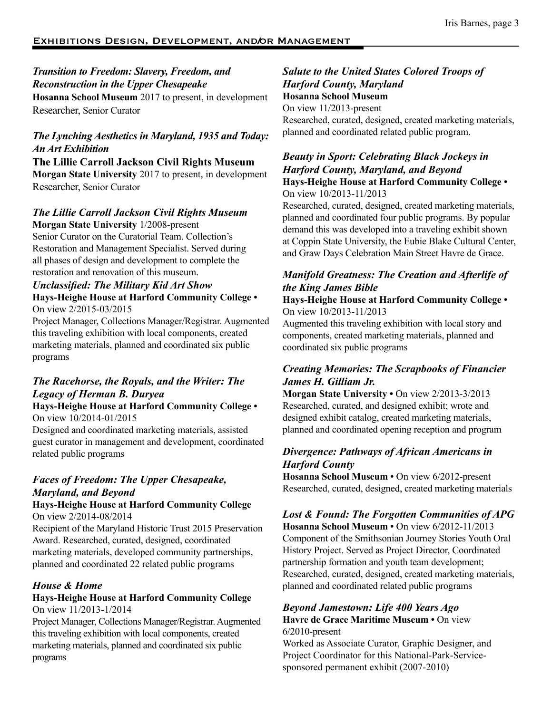## *Transition to Freedom: Slavery, Freedom, and Reconstruction in the Upper Chesapeake*  **Hosanna School Museum** 2017 to present, in development Researcher, Senior Curator

## *The Lynching Aesthetics in Maryland, 1935 and Today: An Art Exhibition*

**The Lillie Carroll Jackson Civil Rights Museum Morgan State University** 2017 to present, in development Researcher, Senior Curator

# *The Lillie Carroll Jackson Civil Rights Museum*

**Morgan State University** 1/2008-present Senior Curator on the Curatorial Team. Collection's Restoration and Management Specialist. Served during all phases of design and development to complete the restoration and renovation of this museum.

## *Unclassified: The Military Kid Art Show* **Hays-Heighe House at Harford Community College •**  On view 2/2015-03/2015

Project Manager, Collections Manager/Registrar. Augmented this traveling exhibition with local components, created marketing materials, planned and coordinated six public programs

## *The Racehorse, the Royals, and the Writer: The Legacy of Herman B. Duryea*

**Hays-Heighe House at Harford Community College •**  On view 10/2014-01/2015

Designed and coordinated marketing materials, assisted guest curator in management and development, coordinated related public programs

# *Faces of Freedom: The Upper Chesapeake, Maryland, and Beyond*

## **Hays-Heighe House at Harford Community College**  On view 2/2014-08/2014

Recipient of the Maryland Historic Trust 2015 Preservation Award. Researched, curated, designed, coordinated marketing materials, developed community partnerships, planned and coordinated 22 related public programs

## *House & Home*

## **Hays-Heighe House at Harford Community College**  On view 11/2013-1/2014

Project Manager, Collections Manager/Registrar. Augmented this traveling exhibition with local components, created marketing materials, planned and coordinated six public programs

## *Salute to the United States Colored Troops of Harford County, Maryland* **Hosanna School Museum**

On view 11/2013-present Researched, curated, designed, created marketing materials, planned and coordinated related public program.

### *Beauty in Sport: Celebrating Black Jockeys in Harford County, Maryland, and Beyond* **Hays-Heighe House at Harford Community College •**  On view 10/2013-11/2013

Researched, curated, designed, created marketing materials, planned and coordinated four public programs. By popular demand this was developed into a traveling exhibit shown at Coppin State University, the Eubie Blake Cultural Center, and Graw Days Celebration Main Street Havre de Grace.

## *Manifold Greatness: The Creation and Afterlife of the King James Bible*

### **Hays-Heighe House at Harford Community College •**  On view 10/2013-11/2013

Augmented this traveling exhibition with local story and components, created marketing materials, planned and coordinated six public programs

## *Creating Memories: The Scrapbooks of Financier James H. Gilliam Jr.*

**Morgan State University •** On view 2/2013-3/2013 Researched, curated, and designed exhibit; wrote and designed exhibit catalog, created marketing materials, planned and coordinated opening reception and program

## *Divergence: Pathways of African Americans in Harford County*

**Hosanna School Museum •** On view 6/2012-present Researched, curated, designed, created marketing materials

## *Lost & Found: The Forgotten Communities of APG*

**Hosanna School Museum •** On view 6/2012-11/2013 Component of the Smithsonian Journey Stories Youth Oral History Project. Served as Project Director, Coordinated partnership formation and youth team development; Researched, curated, designed, created marketing materials, planned and coordinated related public programs

## *Beyond Jamestown: Life 400 Years Ago*

**Havre de Grace Maritime Museum •** On view 6/2010-present

Worked as Associate Curator, Graphic Designer, and Project Coordinator for this National-Park-Servicesponsored permanent exhibit (2007-2010)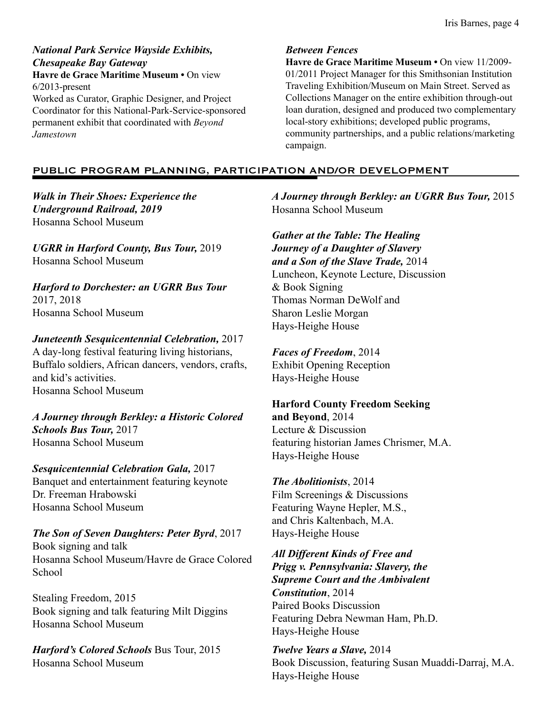*National Park Service Wayside Exhibits, Chesapeake Bay Gateway*

**Havre de Grace Maritime Museum •** On view 6/2013-present

Worked as Curator, Graphic Designer, and Project Coordinator for this National-Park-Service-sponsored permanent exhibit that coordinated with *Beyond Jamestown*

#### *Between Fences*

**Havre de Grace Maritime Museum •** On view 11/2009- 01/2011 Project Manager for this Smithsonian Institution Traveling Exhibition/Museum on Main Street. Served as Collections Manager on the entire exhibition through-out loan duration, designed and produced two complementary local-story exhibitions; developed public programs, community partnerships, and a public relations/marketing campaign.

### PUBLIC PROGRAM PLANNING, PARTICIPATION AND/OR DEVELOPMENT

*Walk in Their Shoes: Experience the Underground Railroad, 2019* Hosanna School Museum

*UGRR in Harford County, Bus Tour,* 2019 Hosanna School Museum

*Harford to Dorchester: an UGRR Bus Tour* 2017, 2018 Hosanna School Museum

*Juneteenth Sesquicentennial Celebration,* 2017 A day-long festival featuring living historians, Buffalo soldiers, African dancers, vendors, crafts, and kid's activities. Hosanna School Museum

*A Journey through Berkley: a Historic Colored Schools Bus Tour,* 2017 Hosanna School Museum

*Sesquicentennial Celebration Gala,* 2017 Banquet and entertainment featuring keynote Dr. Freeman Hrabowski Hosanna School Museum

*The Son of Seven Daughters: Peter Byrd*, 2017 Book signing and talk Hosanna School Museum/Havre de Grace Colored School

Stealing Freedom, 2015 Book signing and talk featuring Milt Diggins Hosanna School Museum

*Harford's Colored Schools* Bus Tour, 2015 Hosanna School Museum

*A Journey through Berkley: an UGRR Bus Tour,* 2015 Hosanna School Museum

*Gather at the Table: The Healing Journey of a Daughter of Slavery and a Son of the Slave Trade,* 2014 Luncheon, Keynote Lecture, Discussion & Book Signing Thomas Norman DeWolf and Sharon Leslie Morgan Hays-Heighe House

*Faces of Freedom*, 2014 Exhibit Opening Reception Hays-Heighe House

**Harford County Freedom Seeking and Beyond**, 2014 Lecture & Discussion featuring historian James Chrismer, M.A. Hays-Heighe House

*The Abolitionists*, 2014 Film Screenings & Discussions Featuring Wayne Hepler, M.S., and Chris Kaltenbach, M.A. Hays-Heighe House

*All Different Kinds of Free and Prigg v. Pennsylvania: Slavery, the Supreme Court and the Ambivalent Constitution*, 2014 Paired Books Discussion Featuring Debra Newman Ham, Ph.D. Hays-Heighe House

*Twelve Years a Slave,* 2014 Book Discussion, featuring Susan Muaddi-Darraj, M.A. Hays-Heighe House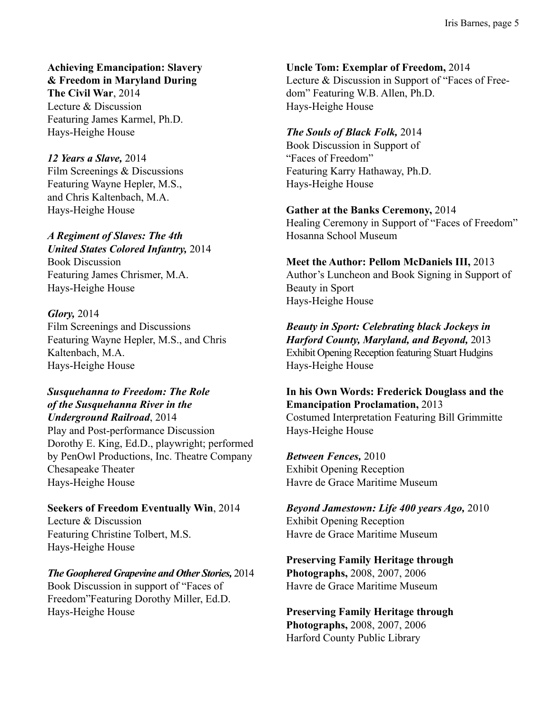**Achieving Emancipation: Slavery & Freedom in Maryland During**

**The Civil War**, 2014 Lecture & Discussion Featuring James Karmel, Ph.D. Hays-Heighe House

### *12 Years a Slave,* 2014

Film Screenings & Discussions Featuring Wayne Hepler, M.S., and Chris Kaltenbach, M.A. Hays-Heighe House

### *A Regiment of Slaves: The 4th*

*United States Colored Infantry,* 2014 Book Discussion Featuring James Chrismer, M.A. Hays-Heighe House

## *Glory,* 2014

Film Screenings and Discussions Featuring Wayne Hepler, M.S., and Chris Kaltenbach, M.A. Hays-Heighe House

## *Susquehanna to Freedom: The Role of the Susquehanna River in the Underground Railroad*, 2014

Play and Post-performance Discussion Dorothy E. King, Ed.D., playwright; performed by PenOwl Productions, Inc. Theatre Company Chesapeake Theater Hays-Heighe House

## **Seekers of Freedom Eventually Win**, 2014 Lecture & Discussion Featuring Christine Tolbert, M.S. Hays-Heighe House

### *The Goophered Grapevine and Other Stories,* 2014 Book Discussion in support of "Faces of

Freedom"Featuring Dorothy Miller, Ed.D. Hays-Heighe House

**Uncle Tom: Exemplar of Freedom,** 2014 Lecture & Discussion in Support of "Faces of Freedom" Featuring W.B. Allen, Ph.D. Hays-Heighe House

### *The Souls of Black Folk,* 2014

Book Discussion in Support of "Faces of Freedom" Featuring Karry Hathaway, Ph.D. Hays-Heighe House

### **Gather at the Banks Ceremony,** 2014

Healing Ceremony in Support of "Faces of Freedom" Hosanna School Museum

## **Meet the Author: Pellom McDaniels III,** 2013 Author's Luncheon and Book Signing in Support of

Beauty in Sport Hays-Heighe House

*Beauty in Sport: Celebrating black Jockeys in Harford County, Maryland, and Beyond,* 2013 Exhibit Opening Reception featuring Stuart Hudgins Hays-Heighe House

## **In his Own Words: Frederick Douglass and the Emancipation Proclamation,** 2013 Costumed Interpretation Featuring Bill Grimmitte

Hays-Heighe House

*Between Fences,* 2010 Exhibit Opening Reception Havre de Grace Maritime Museum

*Beyond Jamestown: Life 400 years Ago,* 2010 Exhibit Opening Reception Havre de Grace Maritime Museum

**Preserving Family Heritage through Photographs,** 2008, 2007, 2006 Havre de Grace Maritime Museum

**Preserving Family Heritage through Photographs,** 2008, 2007, 2006 Harford County Public Library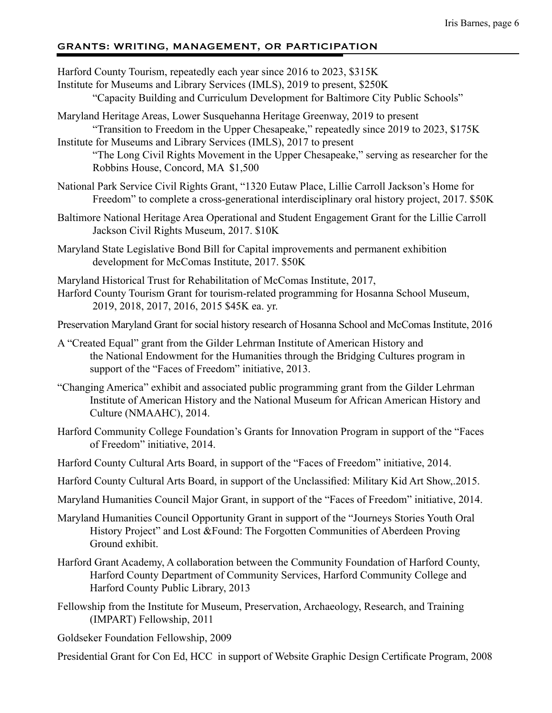### GRANTS: WRITING, MANAGEMENT, OR PARTICIPATION

Harford County Tourism, repeatedly each year since 2016 to 2023, \$315K Institute for Museums and Library Services (IMLS), 2019 to present, \$250K "Capacity Building and Curriculum Development for Baltimore City Public Schools"

Maryland Heritage Areas, Lower Susquehanna Heritage Greenway, 2019 to present "Transition to Freedom in the Upper Chesapeake," repeatedly since 2019 to 2023, \$175K Institute for Museums and Library Services (IMLS), 2017 to present

"The Long Civil Rights Movement in the Upper Chesapeake," serving as researcher for the Robbins House, Concord, MA \$1,500

- National Park Service Civil Rights Grant, "1320 Eutaw Place, Lillie Carroll Jackson's Home for Freedom" to complete a cross-generational interdisciplinary oral history project, 2017. \$50K
- Baltimore National Heritage Area Operational and Student Engagement Grant for the Lillie Carroll Jackson Civil Rights Museum, 2017. \$10K
- Maryland State Legislative Bond Bill for Capital improvements and permanent exhibition development for McComas Institute, 2017. \$50K

Maryland Historical Trust for Rehabilitation of McComas Institute, 2017, Harford County Tourism Grant for tourism-related programming for Hosanna School Museum, 2019, 2018, 2017, 2016, 2015 \$45K ea. yr.

Preservation Maryland Grant for social history research of Hosanna School and McComas Institute, 2016

- A "Created Equal" grant from the Gilder Lehrman Institute of American History and the National Endowment for the Humanities through the Bridging Cultures program in support of the "Faces of Freedom" initiative, 2013.
- "Changing America" exhibit and associated public programming grant from the Gilder Lehrman Institute of American History and the National Museum for African American History and Culture (NMAAHC), 2014.
- Harford Community College Foundation's Grants for Innovation Program in support of the "Faces of Freedom" initiative, 2014.
- Harford County Cultural Arts Board, in support of the "Faces of Freedom" initiative, 2014.
- Harford County Cultural Arts Board, in support of the Unclassified: Military Kid Art Show,.2015.
- Maryland Humanities Council Major Grant, in support of the "Faces of Freedom" initiative, 2014.
- Maryland Humanities Council Opportunity Grant in support of the "Journeys Stories Youth Oral History Project" and Lost &Found: The Forgotten Communities of Aberdeen Proving Ground exhibit.
- Harford Grant Academy, A collaboration between the Community Foundation of Harford County, Harford County Department of Community Services, Harford Community College and Harford County Public Library, 2013
- Fellowship from the Institute for Museum, Preservation, Archaeology, Research, and Training (IMPART) Fellowship, 2011
- Goldseker Foundation Fellowship, 2009

Presidential Grant for Con Ed, HCC in support of Website Graphic Design Certificate Program, 2008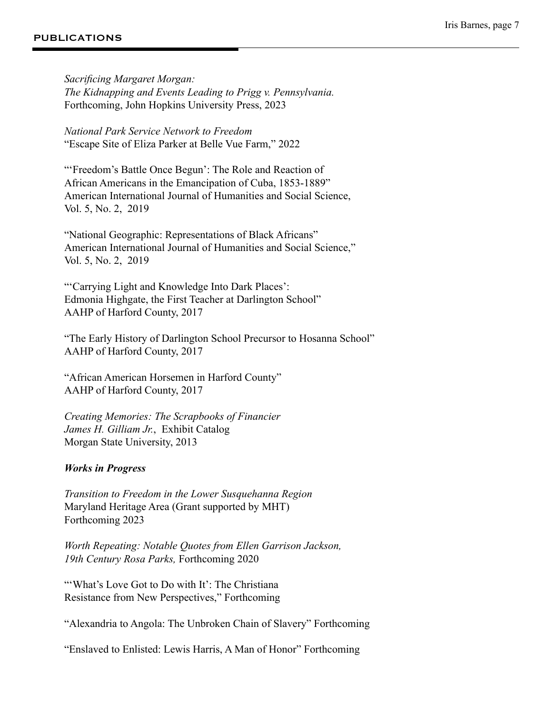#### PUBLICATIONS

*Sacrificing Margaret Morgan: The Kidnapping and Events Leading to Prigg v. Pennsylvania.* Forthcoming, John Hopkins University Press, 2023

*National Park Service Network to Freedom*  "Escape Site of Eliza Parker at Belle Vue Farm," 2022

"'Freedom's Battle Once Begun': The Role and Reaction of African Americans in the Emancipation of Cuba, 1853-1889" American International Journal of Humanities and Social Science, Vol. 5, No. 2, 2019

"National Geographic: Representations of Black Africans" American International Journal of Humanities and Social Science," Vol. 5, No. 2, 2019

"'Carrying Light and Knowledge Into Dark Places': Edmonia Highgate, the First Teacher at Darlington School" AAHP of Harford County, 2017

"The Early History of Darlington School Precursor to Hosanna School" AAHP of Harford County, 2017

"African American Horsemen in Harford County" AAHP of Harford County, 2017

*Creating Memories: The Scrapbooks of Financier James H. Gilliam Jr.*, Exhibit Catalog Morgan State University, 2013

### *Works in Progress*

*Transition to Freedom in the Lower Susquehanna Region* Maryland Heritage Area (Grant supported by MHT) Forthcoming 2023

*Worth Repeating: Notable Quotes from Ellen Garrison Jackson, 19th Century Rosa Parks,* Forthcoming 2020

"'What's Love Got to Do with It': The Christiana Resistance from New Perspectives," Forthcoming

"Alexandria to Angola: The Unbroken Chain of Slavery" Forthcoming

"Enslaved to Enlisted: Lewis Harris, A Man of Honor" Forthcoming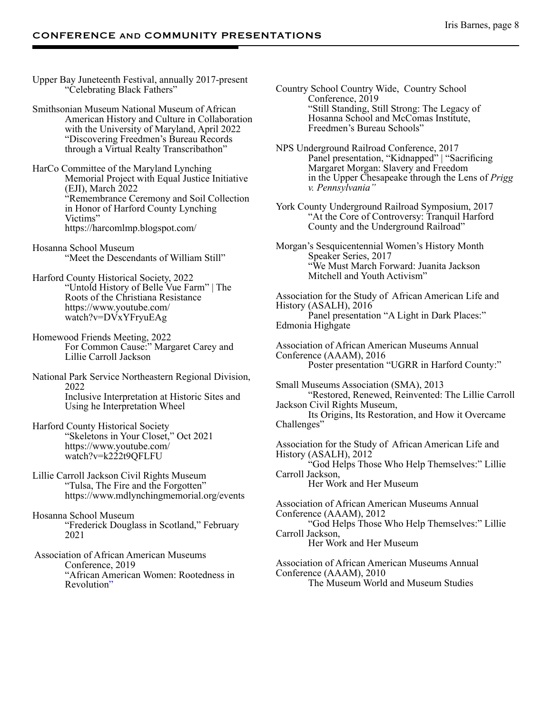Upper Bay Juneteenth Festival, annually 2017-present "Celebrating Black Fathers"

Smithsonian Museum National Museum of African American History and Culture in Collaboration with the University of Maryland, April 2022 "Discovering Freedmen's Bureau Records through a Virtual Realty Transcribathon"

HarCo Committee of the Maryland Lynching Memorial Project with Equal Justice Initiative (EJI), March 2022 "Remembrance Ceremony and Soil Collection in Honor of Harford County Lynching Victims" https://harcomlmp.blogspot.com/

Hosanna School Museum "Meet the Descendants of William Still"

Harford County Historical Society, 2022 "Untold History of Belle Vue Farm" | The Roots of the Christiana Resistance https://www.youtube.com/ watch?v=DVxYFryuEAg

Homewood Friends Meeting, 2022 For Common Cause:" Margaret Carey and Lillie Carroll Jackson

National Park Service Northeastern Regional Division, 2022 Inclusive Interpretation at Historic Sites and Using he Interpretation Wheel

Harford County Historical Society "Skeletons in Your Closet," Oct 2021 https://www.youtube.com/ watch?v=k222t9QFLFU

Lillie Carroll Jackson Civil Rights Museum "Tulsa, The Fire and the Forgotten" https://www.mdlynchingmemorial.org/events

Hosanna School Museum "Frederick Douglass in Scotland," February 2021

 Association of African American Museums Conference, 2019 "African American Women: Rootedness in Revolution"

Country School Country Wide, Country School Conference, 2019 "Still Standing, Still Strong: The Legacy of Hosanna School and McComas Institute, Freedmen's Bureau Schools"

NPS Underground Railroad Conference, 2017 Panel presentation, "Kidnapped" | "Sacrificing Margaret Morgan: Slavery and Freedom in the Upper Chesapeake through the Lens of *Prigg v. Pennsylvania"*

York County Underground Railroad Symposium, 2017 "At the Core of Controversy: Tranquil Harford County and the Underground Railroad"

Morgan's Sesquicentennial Women's History Month Speaker Series, 2017 "We Must March Forward: Juanita Jackson Mitchell and Youth Activism"

Association for the Study of African American Life and History (ASALH), 2016 Panel presentation "A Light in Dark Places:" Edmonia Highgate

Association of African American Museums Annual Conference (AAAM), 2016 Poster presentation "UGRR in Harford County:"

Small Museums Association (SMA), 2013 "Restored, Renewed, Reinvented: The Lillie Carroll Jackson Civil Rights Museum, Its Origins, Its Restoration, and How it Overcame Challenges" Association for the Study of African American Life and History (ASALH), 2012

"God Helps Those Who Help Themselves:" Lillie Carroll Jackson,

Her Work and Her Museum

Association of African American Museums Annual Conference (AAAM), 2012 "God Helps Those Who Help Themselves:" Lillie Carroll Jackson, Her Work and Her Museum

Association of African American Museums Annual Conference (AAAM), 2010 The Museum World and Museum Studies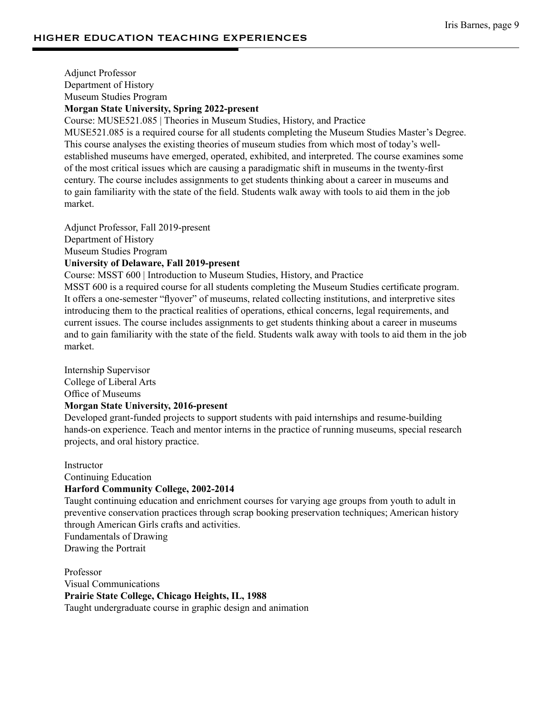Adjunct Professor Department of History Museum Studies Program **Morgan State University, Spring 2022-present**

Course: MUSE521.085 | Theories in Museum Studies, History, and Practice

MUSE521.085 is a required course for all students completing the Museum Studies Master's Degree. This course analyses the existing theories of museum studies from which most of today's wellestablished museums have emerged, operated, exhibited, and interpreted. The course examines some of the most critical issues which are causing a paradigmatic shift in museums in the twenty-first century. The course includes assignments to get students thinking about a career in museums and to gain familiarity with the state of the field. Students walk away with tools to aid them in the job market.

Adjunct Professor, Fall 2019-present Department of History Museum Studies Program **University of Delaware, Fall 2019-present**

Course: MSST 600 | Introduction to Museum Studies, History, and Practice

MSST 600 is a required course for all students completing the Museum Studies certificate program. It offers a one-semester "flyover" of museums, related collecting institutions, and interpretive sites introducing them to the practical realities of operations, ethical concerns, legal requirements, and current issues. The course includes assignments to get students thinking about a career in museums and to gain familiarity with the state of the field. Students walk away with tools to aid them in the job market.

Internship Supervisor College of Liberal Arts Office of Museums **Morgan State University, 2016-present**

Developed grant-funded projects to support students with paid internships and resume-building hands-on experience. Teach and mentor interns in the practice of running museums, special research projects, and oral history practice.

**Instructor** 

Continuing Education

#### **Harford Community College, 2002-2014**

Taught continuing education and enrichment courses for varying age groups from youth to adult in preventive conservation practices through scrap booking preservation techniques; American history through American Girls crafts and activities.

Fundamentals of Drawing

Drawing the Portrait

Professor Visual Communications **Prairie State College, Chicago Heights, IL, 1988** Taught undergraduate course in graphic design and animation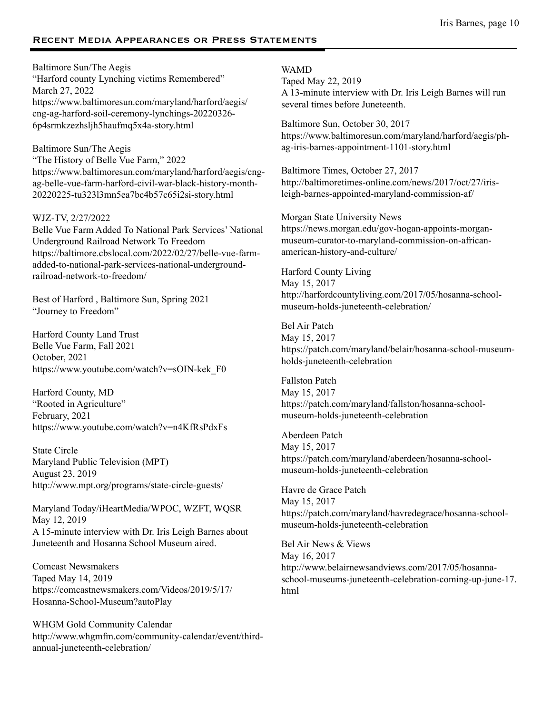### Recent Media Appearances or Press Statements

Baltimore Sun/The Aegis "Harford county Lynching victims Remembered" March 27, 2022 https://www.baltimoresun.com/maryland/harford/aegis/ cng-ag-harford-soil-ceremony-lynchings-20220326- 6p4srmkzezhsljh5haufmq5x4a-story.html

Baltimore Sun/The Aegis "The History of Belle Vue Farm," 2022 https://www.baltimoresun.com/maryland/harford/aegis/cngag-belle-vue-farm-harford-civil-war-black-history-month-20220225-tu323l3mn5ea7bc4b57c65i2si-story.html

#### WJZ-TV, 2/27/2022

Belle Vue Farm Added To National Park Services' National Underground Railroad Network To Freedom https://baltimore.cbslocal.com/2022/02/27/belle-vue-farmadded-to-national-park-services-national-undergroundrailroad-network-to-freedom/

Best of Harford , Baltimore Sun, Spring 2021 "Journey to Freedom"

Harford County Land Trust Belle Vue Farm, Fall 2021 October, 2021 https://www.youtube.com/watch?v=sOIN-kek\_F0

Harford County, MD "Rooted in Agriculture" February, 2021 https://www.youtube.com/watch?v=n4KfRsPdxFs

State Circle Maryland Public Television (MPT) August 23, 2019 http://www.mpt.org/programs/state-circle-guests/

Maryland Today/iHeartMedia/WPOC, WZFT, WQSR May 12, 2019 A 15-minute interview with Dr. Iris Leigh Barnes about Juneteenth and Hosanna School Museum aired.

Comcast Newsmakers Taped May 14, 2019 https://comcastnewsmakers.com/Videos/2019/5/17/ Hosanna-School-Museum?autoPlay

WHGM Gold Community Calendar http://www.whgmfm.com/community-calendar/event/thirdannual-juneteenth-celebration/

#### WAMD

Taped May 22, 2019 A 13-minute interview with Dr. Iris Leigh Barnes will run several times before Juneteenth.

Baltimore Sun, October 30, 2017 https://www.baltimoresun.com/maryland/harford/aegis/phag-iris-barnes-appointment-1101-story.html

Baltimore Times, October 27, 2017 http://baltimoretimes-online.com/news/2017/oct/27/irisleigh-barnes-appointed-maryland-commission-af/

Morgan State University News https://news.morgan.edu/gov-hogan-appoints-morganmuseum-curator-to-maryland-commission-on-africanamerican-history-and-culture/

Harford County Living May 15, 2017 http://harfordcountyliving.com/2017/05/hosanna-schoolmuseum-holds-juneteenth-celebration/

Bel Air Patch May 15, 2017 https://patch.com/maryland/belair/hosanna-school-museumholds-juneteenth-celebration

Fallston Patch May 15, 2017 https://patch.com/maryland/fallston/hosanna-schoolmuseum-holds-juneteenth-celebration

Aberdeen Patch May 15, 2017 https://patch.com/maryland/aberdeen/hosanna-schoolmuseum-holds-juneteenth-celebration

Havre de Grace Patch May 15, 2017 https://patch.com/maryland/havredegrace/hosanna-schoolmuseum-holds-juneteenth-celebration

Bel Air News & Views May 16, 2017 http://www.belairnewsandviews.com/2017/05/hosannaschool-museums-juneteenth-celebration-coming-up-june-17. html